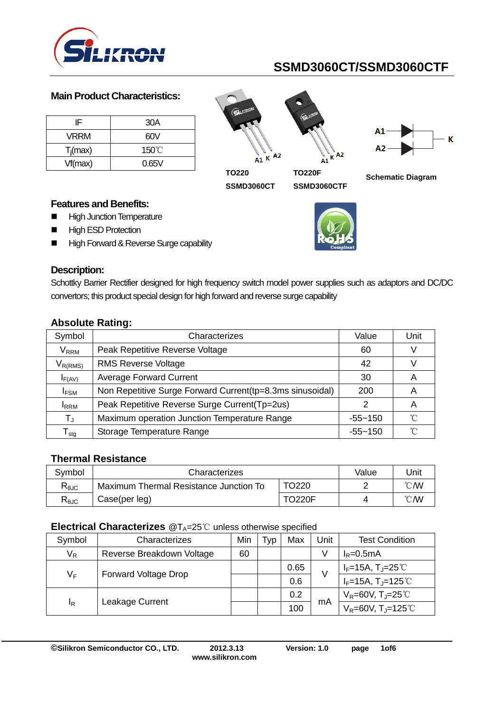

#### **Main Product Characteristics:**

| IF          | 30A             |
|-------------|-----------------|
| <b>VRRM</b> | 60V             |
| $T_i$ (max) | $150^{\circ}$ C |
| Vf(max)     | 0.65V           |

 $A1 K$  A2





**TO220 SSMD3060CT**

**TO220F SSMD3060CTF**



#### **Features and Benefits:**

- **High Junction Temperature**
- **High ESD Protection**
- High Forward & Reverse Surge capability



#### **Description:**

Schottky Barrier Rectifier designed for high frequency switch model power supplies such as adaptors and DC/DC convertors; this product special design for high forward and reverse surge capability

| Symbol                       | Characterizes                                             | Value       | Unit              |
|------------------------------|-----------------------------------------------------------|-------------|-------------------|
| $\mathsf{V}_\mathsf{RRM}$    | Peak Repetitive Reverse Voltage                           | 60          |                   |
| $V_{R(RMS)}$                 | <b>RMS Reverse Voltage</b>                                | 42          |                   |
| $I_{F(AV)}$                  | <b>Average Forward Current</b>                            | 30          | A                 |
| I <sub>FSM</sub>             | Non Repetitive Surge Forward Current(tp=8.3ms sinusoidal) | 200         | A                 |
| <b>I</b> RRM                 | Peak Repetitive Reverse Surge Current(Tp=2us)             |             | A                 |
| $T_{\rm J}$                  | Maximum operation Junction Temperature Range              | $-55 - 150$ | $^{\circ}$ $\cap$ |
| ${\mathsf T}_{\textsf{stg}}$ | Storage Temperature Range                                 | $-55 - 150$ | °C                |

### **Absolute Rating:**

#### **Thermal Resistance**

| Svmbol         | Characterizes                          | Value         | Unit           |                |
|----------------|----------------------------------------|---------------|----------------|----------------|
| $R_{\theta$ JC | Maximum Thermal Resistance Junction To |               | $^{\circ}$ CMV |                |
| $R_{\theta$ JC | Case(per leg)                          | <b>TO220F</b> |                | $^{\circ}$ CMV |

#### **Electrical Characterizes** @T<sub>A</sub>=25℃ unless otherwise specified

| Symbol                               | Characterizes             |    | l vp | Max  | Unit                 | <b>Test Condition</b>               |
|--------------------------------------|---------------------------|----|------|------|----------------------|-------------------------------------|
| $V_R$                                | Reverse Breakdown Voltage | 60 |      |      | V                    | $I_R = 0.5mA$                       |
| $V_F$<br><b>Forward Voltage Drop</b> |                           |    |      | 0.65 | V                    | $I_F=15A, T_J=25^{\circ}C$          |
|                                      |                           |    | 0.6  |      | $I_F=15A, T_J=125°C$ |                                     |
| <sup>I</sup> R                       | Leakage Current           |    |      | 0.2  |                      | $V_R = 60V, T_J = 25°C$             |
|                                      |                           |    |      | 100  | mA                   | $V_R = 60V$ , T <sub>J</sub> =125°C |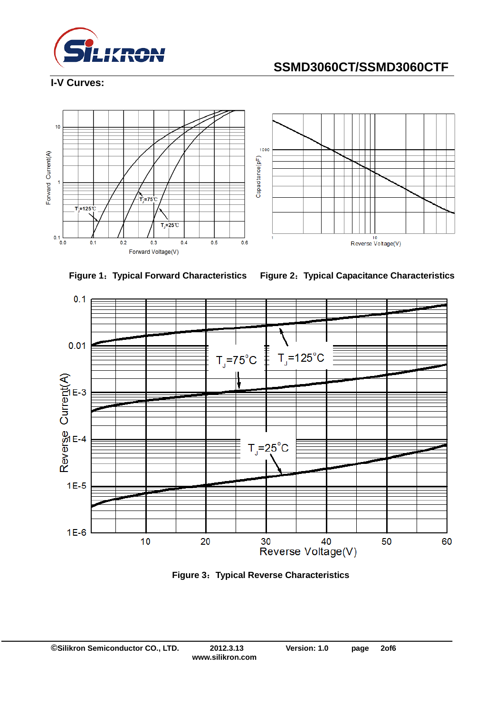

**I-V Curves:**











**Figure 3**:**Typical Reverse Characteristics**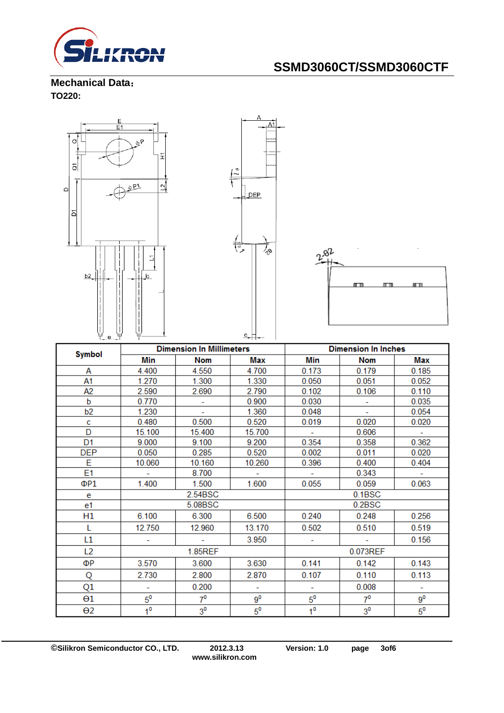

**Mechanical Data**: **TO220:** 

I



| <b>Symbol</b>  | <b>Dimension in Millimeters</b> |                |             | <b>Dimension in Inches</b> |                |                |
|----------------|---------------------------------|----------------|-------------|----------------------------|----------------|----------------|
|                | Min                             | <b>Nom</b>     | Max         | Min                        | <b>Nom</b>     | Max            |
| А              | 4.400                           | 4.550          | 4.700       | 0.173                      | 0.179          | 0.185          |
| A1             | 1.270                           | 1.300          | 1.330       | 0.050                      | 0.051          | 0.052          |
| A2             | 2.590                           | 2.690          | 2.790       | 0.102                      | 0.106          | 0.110          |
| b              | 0.770                           |                | 0.900       | 0.030                      |                | 0.035          |
| b <sub>2</sub> | 1.230                           | $\mathbf{r}$   | 1.360       | 0.048                      | ÷.             | 0.054          |
| c              | 0.480                           | 0.500          | 0.520       | 0.019                      | 0.020          | 0.020          |
| D              | 15.100                          | 15.400         | 15.700      |                            | 0.606          |                |
| D <sub>1</sub> | 9.000                           | 9.100          | 9.200       | 0.354                      | 0.358          | 0.362          |
| <b>DEP</b>     | 0.050                           | 0.285          | 0.520       | 0.002                      | 0.011          | 0.020          |
| E              | 10.060                          | 10.160         | 10.260      | 0.396                      | 0.400          | 0.404          |
| E1             |                                 | 8.700          | ÷.          | $\overline{\phantom{a}}$   | 0.343          | $\blacksquare$ |
| ΦP1            | 1.400                           | 1.500          | 1.600       | 0.055                      | 0.059          | 0.063          |
| e              | 2.54BSC                         |                | 0.1BSC      |                            |                |                |
| e1             |                                 | 5.08BSC        |             | 0.2BSC                     |                |                |
| H1             | 6.100                           | 6.300          | 6.500       | 0.240                      | 0.248          | 0.256          |
| L              | 12.750                          | 12.960         | 13.170      | 0.502                      | 0.510          | 0.519          |
| L1             |                                 |                | 3.950       |                            |                | 0.156          |
| L <sub>2</sub> | 1.85REF                         |                |             | 0.073REF                   |                |                |
| ΦР             | 3.570                           | 3.600          | 3.630       | 0.141                      | 0.142          | 0.143          |
| Q              | 2.730                           | 2.800          | 2.870       | 0.107                      | 0.110          | 0.113          |
| Q1             | ÷                               | 0.200          | ÷           | ÷                          | 0.008          | ÷              |
| $\Theta$ 1     | $5^0$                           | $7^0$          | $9^0$       | $5^0$                      | $7^0$          | $9^0$          |
| θ2             | 1 <sup>0</sup>                  | 3 <sup>0</sup> | $5^{\circ}$ | 1 <sup>0</sup>             | 3 <sup>0</sup> | $5^{\circ}$    |

**©Silikron Semiconductor CO., LTD. 2012.3.13 Version: 1.0 page 3of6**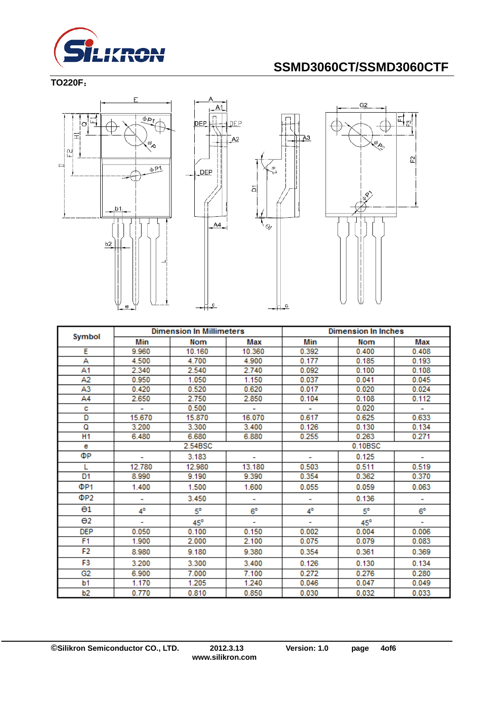

**TO220F**:







| <b>Dimension In Millimeters</b> |        |            | <b>Dimension In Inches</b> |         |            |       |
|---------------------------------|--------|------------|----------------------------|---------|------------|-------|
| Symbol                          | Min    | Nom        | Max                        | Min     | <b>Nom</b> | Max   |
| Ε                               | 9.960  | 10.160     | 10.360                     | 0.392   | 0.400      | 0.408 |
| А                               | 4.500  | 4.700      | 4.900                      | 0.177   | 0.185      | 0.193 |
| A1                              | 2.340  | 2.540      | 2.740                      | 0.092   | 0.100      | 0.108 |
| A2                              | 0.950  | 1.050      | 1.150                      | 0.037   | 0.041      | 0.045 |
| A3                              | 0.420  | 0.520      | 0.620                      | 0.017   | 0.020      | 0.024 |
| A4                              | 2.650  | 2.750      | 2.850                      | 0.104   | 0.108      | 0.112 |
| с                               | ÷.     | 0.500      | ٠                          |         | 0.020      | ÷.    |
| D                               | 15.670 | 15.870     | 16.070                     | 0.617   | 0.625      | 0.633 |
| Q                               | 3.200  | 3.300      | 3.400                      | 0.126   | 0.130      | 0.134 |
| H <sub>1</sub>                  | 6.480  | 6.680      | 6.880                      | 0.255   | 0.263      | 0.271 |
| е                               |        | 2.54BSC    |                            | 0.10BSC |            |       |
| ФP                              |        | 3.183      |                            |         | 0.125      |       |
| L                               | 12.780 | 12.980     | 13.180                     | 0.503   | 0.511      | 0.519 |
| D1                              | 8.990  | 9.190      | 9.390                      | 0.354   | 0.362      | 0.370 |
| ΦP1                             | 1.400  | 1.500      | 1.600                      | 0.055   | 0.059      | 0.063 |
| ΦP2                             | ۰      | 3.450      | ۰                          | ۰       | 0.136      | ۰     |
| $\Theta$ 1                      | 4°     | 5°         | 6°                         | 4°      | 5°         | 6°    |
| $\Theta$ <sub>2</sub>           | ۰      | $45^\circ$ |                            | ٠       | $45^\circ$ | ۰     |
| <b>DEP</b>                      | 0.050  | 0.100      | 0.150                      | 0.002   | 0.004      | 0.006 |
| F1                              | 1.900  | 2.000      | 2.100                      | 0.075   | 0.079      | 0.083 |
| F2                              | 8.980  | 9.180      | 9.380                      | 0.354   | 0.361      | 0.369 |
| F3                              | 3.200  | 3.300      | 3.400                      | 0.126   | 0.130      | 0.134 |
| G2                              | 6.900  | 7.000      | 7.100                      | 0.272   | 0.276      | 0.280 |
| b1                              | 1.170  | 1.205      | 1.240                      | 0.046   | 0.047      | 0.049 |
| b2                              | 0.770  | 0.810      | 0.850                      | 0.030   | 0.032      | 0.033 |

 $\overline{c}$ -1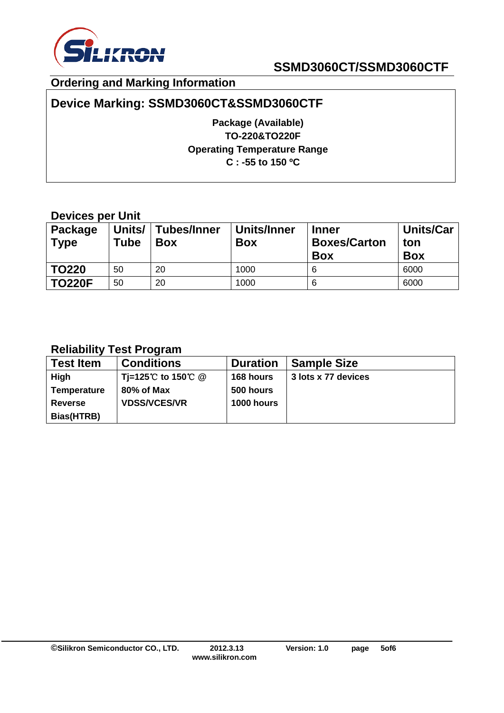

### **Ordering and Marking Information**

## **Device Marking: SSMD3060CT&SSMD3060CTF**

**Package (Available) TO-220&TO220F Operating Temperature Range C : -55 to 150 ºC**

### **Devices per Unit**

| <b>Package</b><br><b>Type</b> | Units/<br>Tube | <b>Tubes/Inner</b><br><b>Box</b> | Units/Inner<br><b>Box</b> | <b>Inner</b><br><b>Boxes/Carton</b><br><b>Box</b> | <b>Units/Car</b><br>ton<br><b>Box</b> |
|-------------------------------|----------------|----------------------------------|---------------------------|---------------------------------------------------|---------------------------------------|
| <b>TO220</b>                  | 50             | 20                               | 1000                      | 6                                                 | 6000                                  |
| <b>TO220F</b>                 | 50             | 20                               | 1000                      | 6                                                 | 6000                                  |

### **Reliability Test Program**

| <b>Test Item</b>   | <b>Conditions</b>   | <b>Duration</b>   | <b>Sample Size</b>  |
|--------------------|---------------------|-------------------|---------------------|
| High               | Ti=125℃ to 150℃ @   | 168 hours         | 3 lots x 77 devices |
| <b>Temperature</b> | 80% of Max          | 500 hours         |                     |
| <b>Reverse</b>     | <b>VDSS/VCES/VR</b> | <b>1000 hours</b> |                     |
| Bias(HTRB)         |                     |                   |                     |